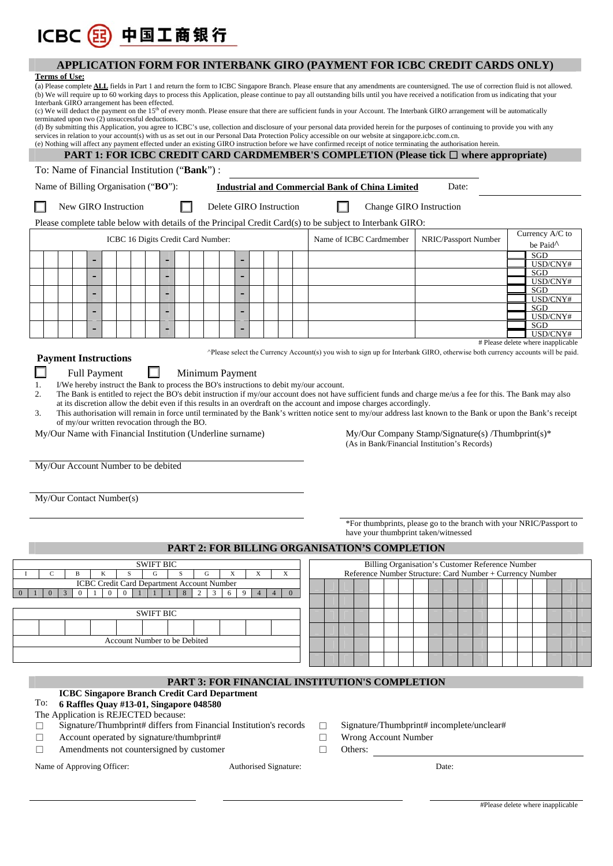# **APPLICATION FORM FOR INTERBANK GIRO (PAYMENT FOR ICBC CREDIT CARDS ONLY)**

#### **Terms of Use:**

ICBC 3 中国工商银行

| (a) Please complete <b>ALL</b> fields in Part 1 and return the form to ICBC Singapore Branch. Please ensure that any amendments are countersigned. The use of correction fluid is not allowed.<br>(b) We will require up to 60 working days to process this Application, please continue to pay all outstanding bills until you have received a notification from us indicating that your<br>Interbank GIRO arrangement has been effected.<br>(c) We will deduct the payment on the 15 <sup>th</sup> of every month. Please ensure that there are sufficient funds in your Account. The Interbank GIRO arrangement will be automatically<br>terminated upon two (2) unsuccessful deductions.<br>(d) By submitting this Application, you agree to ICBC's use, collection and disclosure of your personal data provided herein for the purposes of continuing to provide you with any<br>services in relation to your account(s) with us as set out in our Personal Data Protection Policy accessible on our website at singapore icbc.com.cn.<br>(e) Nothing will affect any payment effected under an existing GIRO instruction before we have confirmed receipt of notice terminating the authorisation herein.<br><b>PART 1: FOR ICBC CREDIT CARD CARDMEMBER'S COMPLETION (Please tick <math>\Box</math> where appropriate)</b><br>To: Name of Financial Institution ("Bank"): |                                                                                                                                                                                                                                                                                                                                                                                                                                                                                                                                                                                                                                                                                                                                                                                                                                                                                                                                        |                                                                   |                |                  |                |                              |                     |                                                        |                     |                |                |  |  |                         |  |                                                           |  |  |  |                      |                                    |                      |                 |  |  |  |
|----------------------------------------------------------------------------------------------------------------------------------------------------------------------------------------------------------------------------------------------------------------------------------------------------------------------------------------------------------------------------------------------------------------------------------------------------------------------------------------------------------------------------------------------------------------------------------------------------------------------------------------------------------------------------------------------------------------------------------------------------------------------------------------------------------------------------------------------------------------------------------------------------------------------------------------------------------------------------------------------------------------------------------------------------------------------------------------------------------------------------------------------------------------------------------------------------------------------------------------------------------------------------------------------------------------------------------------------------------------------------------|----------------------------------------------------------------------------------------------------------------------------------------------------------------------------------------------------------------------------------------------------------------------------------------------------------------------------------------------------------------------------------------------------------------------------------------------------------------------------------------------------------------------------------------------------------------------------------------------------------------------------------------------------------------------------------------------------------------------------------------------------------------------------------------------------------------------------------------------------------------------------------------------------------------------------------------|-------------------------------------------------------------------|----------------|------------------|----------------|------------------------------|---------------------|--------------------------------------------------------|---------------------|----------------|----------------|--|--|-------------------------|--|-----------------------------------------------------------|--|--|--|----------------------|------------------------------------|----------------------|-----------------|--|--|--|
|                                                                                                                                                                                                                                                                                                                                                                                                                                                                                                                                                                                                                                                                                                                                                                                                                                                                                                                                                                                                                                                                                                                                                                                                                                                                                                                                                                                  |                                                                                                                                                                                                                                                                                                                                                                                                                                                                                                                                                                                                                                                                                                                                                                                                                                                                                                                                        |                                                                   |                |                  |                |                              |                     |                                                        |                     |                |                |  |  |                         |  |                                                           |  |  |  |                      |                                    |                      |                 |  |  |  |
|                                                                                                                                                                                                                                                                                                                                                                                                                                                                                                                                                                                                                                                                                                                                                                                                                                                                                                                                                                                                                                                                                                                                                                                                                                                                                                                                                                                  | Name of Billing Organisation ("BO"):                                                                                                                                                                                                                                                                                                                                                                                                                                                                                                                                                                                                                                                                                                                                                                                                                                                                                                   |                                                                   |                |                  |                |                              |                     | <b>Industrial and Commercial Bank of China Limited</b> |                     |                |                |  |  |                         |  |                                                           |  |  |  | Date:                |                                    |                      |                 |  |  |  |
|                                                                                                                                                                                                                                                                                                                                                                                                                                                                                                                                                                                                                                                                                                                                                                                                                                                                                                                                                                                                                                                                                                                                                                                                                                                                                                                                                                                  | New GIRO Instruction                                                                                                                                                                                                                                                                                                                                                                                                                                                                                                                                                                                                                                                                                                                                                                                                                                                                                                                   |                                                                   |                |                  |                |                              |                     | Delete GIRO Instruction                                |                     |                |                |  |  |                         |  | <b>Change GIRO Instruction</b>                            |  |  |  |                      |                                    |                      |                 |  |  |  |
| Please complete table below with details of the Principal Credit Card(s) to be subject to Interbank GIRO:<br>Currency A/C to                                                                                                                                                                                                                                                                                                                                                                                                                                                                                                                                                                                                                                                                                                                                                                                                                                                                                                                                                                                                                                                                                                                                                                                                                                                     |                                                                                                                                                                                                                                                                                                                                                                                                                                                                                                                                                                                                                                                                                                                                                                                                                                                                                                                                        |                                                                   |                |                  |                |                              |                     |                                                        |                     |                |                |  |  |                         |  |                                                           |  |  |  |                      |                                    |                      |                 |  |  |  |
|                                                                                                                                                                                                                                                                                                                                                                                                                                                                                                                                                                                                                                                                                                                                                                                                                                                                                                                                                                                                                                                                                                                                                                                                                                                                                                                                                                                  | ICBC 16 Digits Credit Card Number:                                                                                                                                                                                                                                                                                                                                                                                                                                                                                                                                                                                                                                                                                                                                                                                                                                                                                                     |                                                                   |                |                  |                |                              |                     |                                                        |                     |                |                |  |  | Name of ICBC Cardmember |  |                                                           |  |  |  | NRIC/Passport Number |                                    | be Paid <sup>^</sup> |                 |  |  |  |
|                                                                                                                                                                                                                                                                                                                                                                                                                                                                                                                                                                                                                                                                                                                                                                                                                                                                                                                                                                                                                                                                                                                                                                                                                                                                                                                                                                                  |                                                                                                                                                                                                                                                                                                                                                                                                                                                                                                                                                                                                                                                                                                                                                                                                                                                                                                                                        |                                                                   |                |                  |                |                              |                     | ٠                                                      |                     |                |                |  |  |                         |  |                                                           |  |  |  |                      |                                    |                      | SGD             |  |  |  |
|                                                                                                                                                                                                                                                                                                                                                                                                                                                                                                                                                                                                                                                                                                                                                                                                                                                                                                                                                                                                                                                                                                                                                                                                                                                                                                                                                                                  |                                                                                                                                                                                                                                                                                                                                                                                                                                                                                                                                                                                                                                                                                                                                                                                                                                                                                                                                        |                                                                   |                |                  |                |                              |                     |                                                        |                     |                |                |  |  |                         |  |                                                           |  |  |  |                      |                                    |                      | USD/CNY#<br>SGD |  |  |  |
|                                                                                                                                                                                                                                                                                                                                                                                                                                                                                                                                                                                                                                                                                                                                                                                                                                                                                                                                                                                                                                                                                                                                                                                                                                                                                                                                                                                  |                                                                                                                                                                                                                                                                                                                                                                                                                                                                                                                                                                                                                                                                                                                                                                                                                                                                                                                                        |                                                                   |                |                  | $\blacksquare$ |                              |                     |                                                        |                     |                |                |  |  |                         |  |                                                           |  |  |  |                      |                                    |                      | USD/CNY#<br>SGD |  |  |  |
|                                                                                                                                                                                                                                                                                                                                                                                                                                                                                                                                                                                                                                                                                                                                                                                                                                                                                                                                                                                                                                                                                                                                                                                                                                                                                                                                                                                  |                                                                                                                                                                                                                                                                                                                                                                                                                                                                                                                                                                                                                                                                                                                                                                                                                                                                                                                                        |                                                                   |                |                  |                |                              |                     |                                                        |                     |                |                |  |  |                         |  |                                                           |  |  |  |                      |                                    |                      | USD/CNY#<br>SGD |  |  |  |
|                                                                                                                                                                                                                                                                                                                                                                                                                                                                                                                                                                                                                                                                                                                                                                                                                                                                                                                                                                                                                                                                                                                                                                                                                                                                                                                                                                                  |                                                                                                                                                                                                                                                                                                                                                                                                                                                                                                                                                                                                                                                                                                                                                                                                                                                                                                                                        |                                                                   |                |                  |                |                              |                     |                                                        |                     |                |                |  |  |                         |  |                                                           |  |  |  |                      |                                    |                      | USD/CNY#<br>SGD |  |  |  |
|                                                                                                                                                                                                                                                                                                                                                                                                                                                                                                                                                                                                                                                                                                                                                                                                                                                                                                                                                                                                                                                                                                                                                                                                                                                                                                                                                                                  |                                                                                                                                                                                                                                                                                                                                                                                                                                                                                                                                                                                                                                                                                                                                                                                                                                                                                                                                        |                                                                   |                |                  |                |                              |                     |                                                        |                     |                |                |  |  |                         |  |                                                           |  |  |  |                      | # Please delete where inapplicable |                      | USD/CNY#        |  |  |  |
| 1.<br>2.<br>3.                                                                                                                                                                                                                                                                                                                                                                                                                                                                                                                                                                                                                                                                                                                                                                                                                                                                                                                                                                                                                                                                                                                                                                                                                                                                                                                                                                   | Applease select the Currency Account(s) you wish to sign up for Interbank GIRO, otherwise both currency accounts will be paid.<br><b>Payment Instructions</b><br><b>Full Payment</b><br>H<br>Minimum Payment<br>I/We hereby instruct the Bank to process the BO's instructions to debit my/our account.<br>The Bank is entitled to reject the BO's debit instruction if my/our account does not have sufficient funds and charge me/us a fee for this. The Bank may also<br>at its discretion allow the debit even if this results in an overdraft on the account and impose charges accordingly.<br>This authorisation will remain in force until terminated by the Bank's written notice sent to my/our address last known to the Bank or upon the Bank's receipt<br>of my/our written revocation through the BO.<br>My/Our Name with Financial Institution (Underline surname)<br>My/Our Company Stamp/Signature(s) /Thumbprint(s)* |                                                                   |                |                  |                |                              |                     |                                                        |                     |                |                |  |  |                         |  |                                                           |  |  |  |                      |                                    |                      |                 |  |  |  |
| My/Our Account Number to be debited<br>My/Our Contact Number(s)<br>*For thumbprints, please go to the branch with your NRIC/Passport to                                                                                                                                                                                                                                                                                                                                                                                                                                                                                                                                                                                                                                                                                                                                                                                                                                                                                                                                                                                                                                                                                                                                                                                                                                          |                                                                                                                                                                                                                                                                                                                                                                                                                                                                                                                                                                                                                                                                                                                                                                                                                                                                                                                                        |                                                                   |                |                  |                |                              |                     |                                                        |                     |                |                |  |  |                         |  |                                                           |  |  |  |                      |                                    |                      |                 |  |  |  |
| have your thumbprint taken/witnessed                                                                                                                                                                                                                                                                                                                                                                                                                                                                                                                                                                                                                                                                                                                                                                                                                                                                                                                                                                                                                                                                                                                                                                                                                                                                                                                                             |                                                                                                                                                                                                                                                                                                                                                                                                                                                                                                                                                                                                                                                                                                                                                                                                                                                                                                                                        |                                                                   |                |                  |                |                              |                     |                                                        |                     |                |                |  |  |                         |  |                                                           |  |  |  |                      |                                    |                      |                 |  |  |  |
| PART 2: FOR BILLING ORGANISATION'S COMPLETION<br>Billing Organisation's Customer Reference Number                                                                                                                                                                                                                                                                                                                                                                                                                                                                                                                                                                                                                                                                                                                                                                                                                                                                                                                                                                                                                                                                                                                                                                                                                                                                                |                                                                                                                                                                                                                                                                                                                                                                                                                                                                                                                                                                                                                                                                                                                                                                                                                                                                                                                                        |                                                                   |                |                  |                |                              |                     |                                                        |                     |                |                |  |  |                         |  |                                                           |  |  |  |                      |                                    |                      |                 |  |  |  |
| <b>SWIFT BIC</b><br>S<br>${\bf G}$<br>$\mathsf{C}$<br>S<br>G<br>X<br>X<br>$\mathbf X$<br>B<br>K                                                                                                                                                                                                                                                                                                                                                                                                                                                                                                                                                                                                                                                                                                                                                                                                                                                                                                                                                                                                                                                                                                                                                                                                                                                                                  |                                                                                                                                                                                                                                                                                                                                                                                                                                                                                                                                                                                                                                                                                                                                                                                                                                                                                                                                        |                                                                   |                |                  |                |                              |                     |                                                        |                     |                |                |  |  |                         |  | Reference Number Structure: Card Number + Currency Number |  |  |  |                      |                                    |                      |                 |  |  |  |
| $\overline{0}$                                                                                                                                                                                                                                                                                                                                                                                                                                                                                                                                                                                                                                                                                                                                                                                                                                                                                                                                                                                                                                                                                                                                                                                                                                                                                                                                                                   | 3<br>$\overline{0}$                                                                                                                                                                                                                                                                                                                                                                                                                                                                                                                                                                                                                                                                                                                                                                                                                                                                                                                    | ICBC Credit Card Department Account Number<br>$\overline{0}$<br>1 | $\overline{0}$ | $\mathbf{1}$     |                | 8                            | $\overline{2}$<br>3 | 6                                                      | 9<br>$\overline{4}$ | $\overline{4}$ | $\overline{0}$ |  |  |                         |  |                                                           |  |  |  |                      |                                    |                      |                 |  |  |  |
|                                                                                                                                                                                                                                                                                                                                                                                                                                                                                                                                                                                                                                                                                                                                                                                                                                                                                                                                                                                                                                                                                                                                                                                                                                                                                                                                                                                  |                                                                                                                                                                                                                                                                                                                                                                                                                                                                                                                                                                                                                                                                                                                                                                                                                                                                                                                                        |                                                                   |                |                  |                |                              |                     |                                                        |                     |                |                |  |  |                         |  |                                                           |  |  |  |                      |                                    |                      |                 |  |  |  |
|                                                                                                                                                                                                                                                                                                                                                                                                                                                                                                                                                                                                                                                                                                                                                                                                                                                                                                                                                                                                                                                                                                                                                                                                                                                                                                                                                                                  |                                                                                                                                                                                                                                                                                                                                                                                                                                                                                                                                                                                                                                                                                                                                                                                                                                                                                                                                        |                                                                   |                | <b>SWIFT BIC</b> |                |                              |                     |                                                        |                     |                |                |  |  |                         |  |                                                           |  |  |  |                      |                                    |                      |                 |  |  |  |
|                                                                                                                                                                                                                                                                                                                                                                                                                                                                                                                                                                                                                                                                                                                                                                                                                                                                                                                                                                                                                                                                                                                                                                                                                                                                                                                                                                                  |                                                                                                                                                                                                                                                                                                                                                                                                                                                                                                                                                                                                                                                                                                                                                                                                                                                                                                                                        |                                                                   |                |                  |                | Account Number to be Debited |                     |                                                        |                     |                |                |  |  |                         |  |                                                           |  |  |  |                      |                                    |                      |                 |  |  |  |
|                                                                                                                                                                                                                                                                                                                                                                                                                                                                                                                                                                                                                                                                                                                                                                                                                                                                                                                                                                                                                                                                                                                                                                                                                                                                                                                                                                                  |                                                                                                                                                                                                                                                                                                                                                                                                                                                                                                                                                                                                                                                                                                                                                                                                                                                                                                                                        |                                                                   |                |                  |                |                              |                     |                                                        |                     |                |                |  |  |                         |  |                                                           |  |  |  |                      |                                    |                      |                 |  |  |  |
|                                                                                                                                                                                                                                                                                                                                                                                                                                                                                                                                                                                                                                                                                                                                                                                                                                                                                                                                                                                                                                                                                                                                                                                                                                                                                                                                                                                  |                                                                                                                                                                                                                                                                                                                                                                                                                                                                                                                                                                                                                                                                                                                                                                                                                                                                                                                                        |                                                                   |                |                  |                |                              |                     |                                                        |                     |                |                |  |  |                         |  |                                                           |  |  |  |                      |                                    |                      |                 |  |  |  |
| To:<br>П<br>П<br>П                                                                                                                                                                                                                                                                                                                                                                                                                                                                                                                                                                                                                                                                                                                                                                                                                                                                                                                                                                                                                                                                                                                                                                                                                                                                                                                                                               | PART 3: FOR FINANCIAL INSTITUTION'S COMPLETION<br><b>ICBC Singapore Branch Credit Card Department</b><br>6 Raffles Quay #13-01, Singapore 048580<br>The Application is REJECTED because:<br>Signature/Thumbprint# differs from Financial Institution's records<br>Signature/Thumbprint# incomplete/unclear#<br>Ш<br>Account operated by signature/thumbprint#<br>Wrong Account Number<br>□<br>Amendments not countersigned by customer<br>Others:<br>□                                                                                                                                                                                                                                                                                                                                                                                                                                                                                 |                                                                   |                |                  |                |                              |                     |                                                        |                     |                |                |  |  |                         |  |                                                           |  |  |  |                      |                                    |                      |                 |  |  |  |
| Name of Approving Officer:<br>Authorised Signature:<br>Date:                                                                                                                                                                                                                                                                                                                                                                                                                                                                                                                                                                                                                                                                                                                                                                                                                                                                                                                                                                                                                                                                                                                                                                                                                                                                                                                     |                                                                                                                                                                                                                                                                                                                                                                                                                                                                                                                                                                                                                                                                                                                                                                                                                                                                                                                                        |                                                                   |                |                  |                |                              |                     |                                                        |                     |                |                |  |  |                         |  |                                                           |  |  |  |                      |                                    |                      |                 |  |  |  |